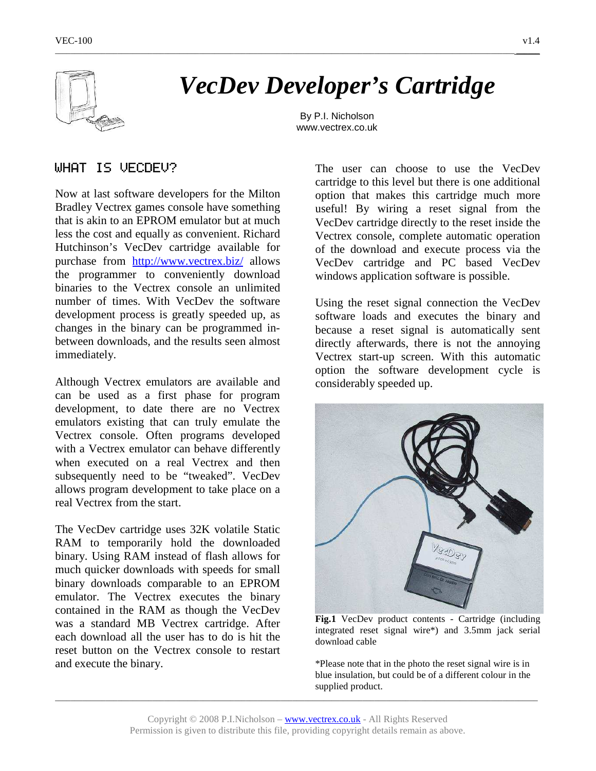

# *VecDev Developer's Cartridge*

\_\_\_\_\_\_\_\_\_\_\_\_\_\_\_\_\_\_\_\_\_\_\_\_\_\_\_\_\_\_\_\_\_\_\_\_\_\_\_\_\_\_\_\_\_\_\_\_\_\_\_\_\_\_\_\_\_\_\_\_\_\_\_\_\_\_\_\_\_\_\_\_\_\_\_\_\_\_\_\_\_\_\_\_\_\_\_\_\_\_\_\_\_\_\_\_\_\_\_\_\_\_\_\_\_\_\_\_\_\_\_\_\_\_\_\_\_\_ \_\_\_\_\_\_

By P.I. Nicholson www.vectrex.co.uk

# WHAT IS VECDEU?

Now at last software developers for the Milton Bradley Vectrex games console have something that is akin to an EPROM emulator but at much less the cost and equally as convenient. Richard Hutchinson's VecDev cartridge available for purchase from http://www.vectrex.biz/ allows the programmer to conveniently download binaries to the Vectrex console an unlimited number of times. With VecDev the software development process is greatly speeded up, as changes in the binary can be programmed inbetween downloads, and the results seen almost immediately.

Although Vectrex emulators are available and can be used as a first phase for program development, to date there are no Vectrex emulators existing that can truly emulate the Vectrex console. Often programs developed with a Vectrex emulator can behave differently when executed on a real Vectrex and then subsequently need to be "tweaked". VecDev allows program development to take place on a real Vectrex from the start.

The VecDev cartridge uses 32K volatile Static RAM to temporarily hold the downloaded binary. Using RAM instead of flash allows for much quicker downloads with speeds for small binary downloads comparable to an EPROM emulator. The Vectrex executes the binary contained in the RAM as though the VecDev was a standard MB Vectrex cartridge. After each download all the user has to do is hit the reset button on the Vectrex console to restart and execute the binary.

The user can choose to use the VecDev cartridge to this level but there is one additional option that makes this cartridge much more useful! By wiring a reset signal from the VecDev cartridge directly to the reset inside the Vectrex console, complete automatic operation of the download and execute process via the VecDev cartridge and PC based VecDev windows application software is possible.

Using the reset signal connection the VecDev software loads and executes the binary and because a reset signal is automatically sent directly afterwards, there is not the annoying Vectrex start-up screen. With this automatic option the software development cycle is considerably speeded up.



**Fig.1** VecDev product contents - Cartridge (including integrated reset signal wire\*) and 3.5mm jack serial download cable

\*Please note that in the photo the reset signal wire is in blue insulation, but could be of a different colour in the supplied product.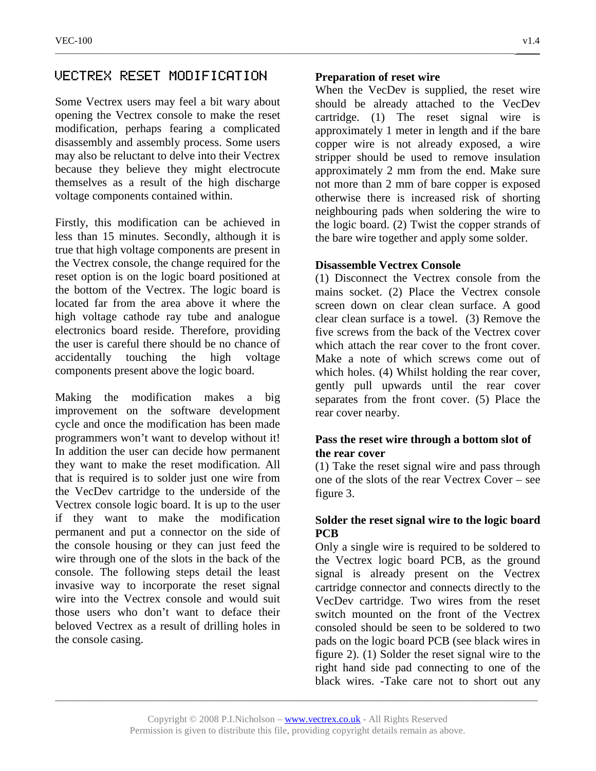## VECTREX RESET MODIFICATION

Some Vectrex users may feel a bit wary about opening the Vectrex console to make the reset modification, perhaps fearing a complicated disassembly and assembly process. Some users may also be reluctant to delve into their Vectrex because they believe they might electrocute themselves as a result of the high discharge voltage components contained within.

Firstly, this modification can be achieved in less than 15 minutes. Secondly, although it is true that high voltage components are present in the Vectrex console, the change required for the reset option is on the logic board positioned at the bottom of the Vectrex. The logic board is located far from the area above it where the high voltage cathode ray tube and analogue electronics board reside. Therefore, providing the user is careful there should be no chance of accidentally touching the high voltage components present above the logic board.

Making the modification makes a big improvement on the software development cycle and once the modification has been made programmers won't want to develop without it! In addition the user can decide how permanent they want to make the reset modification. All that is required is to solder just one wire from the VecDev cartridge to the underside of the Vectrex console logic board. It is up to the user if they want to make the modification permanent and put a connector on the side of the console housing or they can just feed the wire through one of the slots in the back of the console. The following steps detail the least invasive way to incorporate the reset signal wire into the Vectrex console and would suit those users who don't want to deface their beloved Vectrex as a result of drilling holes in the console casing.

## **Preparation of reset wire**

\_\_\_\_\_\_\_\_\_\_\_\_\_\_\_\_\_\_\_\_\_\_\_\_\_\_\_\_\_\_\_\_\_\_\_\_\_\_\_\_\_\_\_\_\_\_\_\_\_\_\_\_\_\_\_\_\_\_\_\_\_\_\_\_\_\_\_\_\_\_\_\_\_\_\_\_\_\_\_\_\_\_\_\_\_\_\_\_\_\_\_\_\_\_\_\_\_\_\_\_\_\_\_\_\_\_\_\_\_\_\_\_\_\_\_\_\_\_ \_\_\_\_\_\_

When the VecDev is supplied, the reset wire should be already attached to the VecDev cartridge. (1) The reset signal wire is approximately 1 meter in length and if the bare copper wire is not already exposed, a wire stripper should be used to remove insulation approximately 2 mm from the end. Make sure not more than 2 mm of bare copper is exposed otherwise there is increased risk of shorting neighbouring pads when soldering the wire to the logic board. (2) Twist the copper strands of the bare wire together and apply some solder.

## **Disassemble Vectrex Console**

(1) Disconnect the Vectrex console from the mains socket. (2) Place the Vectrex console screen down on clear clean surface. A good clear clean surface is a towel. (3) Remove the five screws from the back of the Vectrex cover which attach the rear cover to the front cover. Make a note of which screws come out of which holes. (4) Whilst holding the rear cover, gently pull upwards until the rear cover separates from the front cover. (5) Place the rear cover nearby.

## **Pass the reset wire through a bottom slot of the rear cover**

(1) Take the reset signal wire and pass through one of the slots of the rear Vectrex Cover – see figure 3.

## **Solder the reset signal wire to the logic board PCB**

Only a single wire is required to be soldered to the Vectrex logic board PCB, as the ground signal is already present on the Vectrex cartridge connector and connects directly to the VecDev cartridge. Two wires from the reset switch mounted on the front of the Vectrex consoled should be seen to be soldered to two pads on the logic board PCB (see black wires in figure 2). (1) Solder the reset signal wire to the right hand side pad connecting to one of the black wires. -Take care not to short out any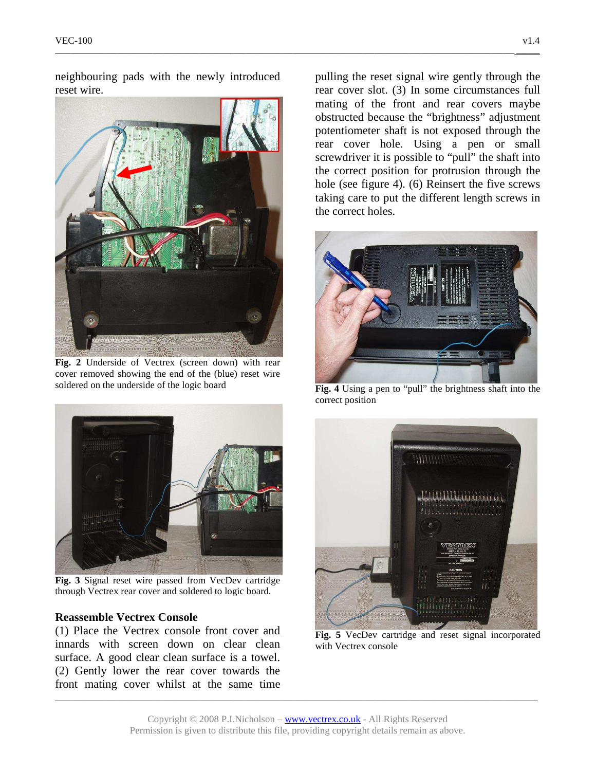neighbouring pads with the newly introduced reset wire.

\_\_\_\_\_\_\_\_\_\_\_\_\_\_\_\_\_\_\_\_\_\_\_\_\_\_\_\_\_\_\_\_\_\_\_\_\_\_\_\_\_\_\_\_\_\_\_\_\_\_\_\_\_\_\_\_\_\_\_\_\_\_\_\_\_\_\_\_\_\_\_\_\_\_\_\_\_\_\_\_\_\_\_\_\_\_\_\_\_\_\_\_\_\_\_\_\_\_\_\_\_\_\_\_\_\_\_\_\_\_\_\_\_\_\_\_\_\_ \_\_\_\_\_\_



**Fig. 2** Underside of Vectrex (screen down) with rear cover removed showing the end of the (blue) reset wire soldered on the underside of the logic board



**Fig. 3** Signal reset wire passed from VecDev cartridge through Vectrex rear cover and soldered to logic board.

#### **Reassemble Vectrex Console**

(1) Place the Vectrex console front cover and innards with screen down on clear clean surface. A good clear clean surface is a towel. (2) Gently lower the rear cover towards the front mating cover whilst at the same time pulling the reset signal wire gently through the rear cover slot. (3) In some circumstances full mating of the front and rear covers maybe obstructed because the "brightness" adjustment potentiometer shaft is not exposed through the rear cover hole. Using a pen or small screwdriver it is possible to "pull" the shaft into the correct position for protrusion through the hole (see figure 4). (6) Reinsert the five screws taking care to put the different length screws in the correct holes.



**Fig. 4** Using a pen to "pull" the brightness shaft into the correct position



**Fig. 5** VecDev cartridge and reset signal incorporated with Vectrex console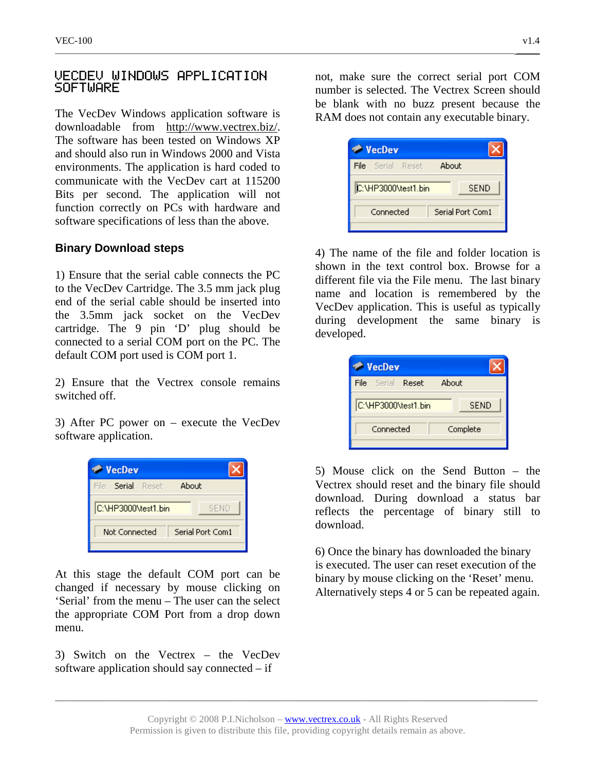## VECDEV WINDOWS APPLICATION **SOFTWARE**

The VecDev Windows application software is downloadable from http://www.vectrex.biz/. The software has been tested on Windows XP and should also run in Windows 2000 and Vista environments. The application is hard coded to communicate with the VecDev cart at 115200 Bits per second. The application will not function correctly on PCs with hardware and software specifications of less than the above.

## **Binary Download steps**

1) Ensure that the serial cable connects the PC to the VecDev Cartridge. The 3.5 mm jack plug end of the serial cable should be inserted into the 3.5mm jack socket on the VecDev cartridge. The 9 pin 'D' plug should be connected to a serial COM port on the PC. The default COM port used is COM port 1.

2) Ensure that the Vectrex console remains switched off.

3) After PC power on – execute the VecDev software application.

| <b>VecDev</b>                      |  |  |
|------------------------------------|--|--|
| File Serial Reset<br>About         |  |  |
| C:\HP3000\test1.bin<br><b>SEND</b> |  |  |
| Serial Port Com1<br>Not Connected  |  |  |

At this stage the default COM port can be changed if necessary by mouse clicking on 'Serial' from the menu – The user can the select the appropriate COM Port from a drop down menu.

3) Switch on the Vectrex – the VecDev software application should say connected – if

not, make sure the correct serial port COM number is selected. The Vectrex Screen should be blank with no buzz present because the RAM does not contain any executable binary.

| <b>VecDev</b>                 |             |
|-------------------------------|-------------|
| File Serial Reset             | About       |
| C:\HP3000\test1.bin           | <b>SEND</b> |
| Serial Port Com1<br>Connected |             |

4) The name of the file and folder location is shown in the text control box. Browse for a different file via the File menu. The last binary name and location is remembered by the VecDev application. This is useful as typically during development the same binary is developed.

| About       |
|-------------|
| <b>SEND</b> |
| Complete    |
|             |

5) Mouse click on the Send Button – the Vectrex should reset and the binary file should download. During download a status bar reflects the percentage of binary still to download.

6) Once the binary has downloaded the binary is executed. The user can reset execution of the binary by mouse clicking on the 'Reset' menu. Alternatively steps 4 or 5 can be repeated again.

\_\_\_\_\_\_\_\_\_\_\_\_\_\_\_\_\_\_\_\_\_\_\_\_\_\_\_\_\_\_\_\_\_\_\_\_\_\_\_\_\_\_\_\_\_\_\_\_\_\_\_\_\_\_\_\_\_\_\_\_\_\_\_\_\_\_\_\_\_\_\_\_\_\_\_\_\_\_\_\_\_\_\_\_\_\_\_\_\_\_\_\_\_\_\_\_\_\_\_\_\_\_\_\_\_\_\_\_\_\_\_\_\_\_\_\_\_\_\_\_\_\_\_\_